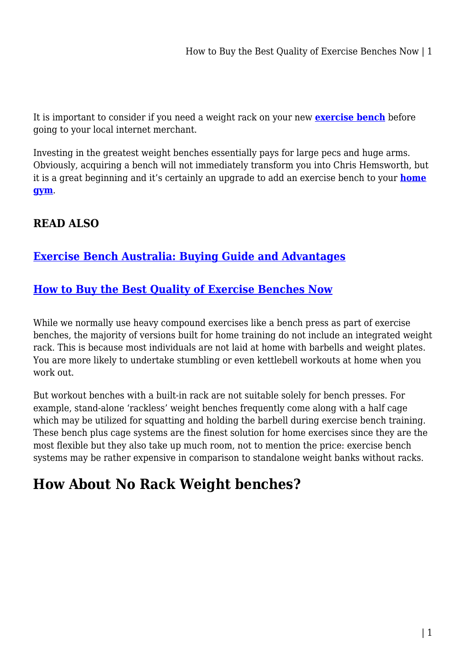It is important to consider if you need a weight rack on your new **[exercise bench](https://shopystore.com.au/fitness-equipments/exercise-benches/)** before going to your local internet merchant.

Investing in the greatest weight benches essentially pays for large pecs and huge arms. Obviously, acquiring a bench will not immediately transform you into Chris Hemsworth, but it is a great beginning and it's certainly an upgrade to add an exercise bench to your **[home](https://shopystore.com.au/fitness-equipments/) [gym](https://shopystore.com.au/fitness-equipments/)**.

#### **READ ALSO**

#### **[Exercise Bench Australia: Buying Guide and Advantages](https://power-battery.com.au/exercise-bench-australia-buying-guide-and-advantages/)**

#### **[How to Buy the Best Quality of Exercise Benches Now](https://power-battery.com.au/how-to-buy-the-best-quality-of-exercise-benches-now/)**

While we normally use heavy compound exercises like a bench press as part of exercise benches, the majority of versions built for home training do not include an integrated weight rack. This is because most individuals are not laid at home with barbells and weight plates. You are more likely to undertake stumbling or even kettlebell workouts at home when you work out.

But workout benches with a built-in rack are not suitable solely for bench presses. For example, stand-alone 'rackless' weight benches frequently come along with a half cage which may be utilized for squatting and holding the barbell during exercise bench training. These bench plus cage systems are the finest solution for home exercises since they are the most flexible but they also take up much room, not to mention the price: exercise bench systems may be rather expensive in comparison to standalone weight banks without racks.

# **How About No Rack Weight benches?**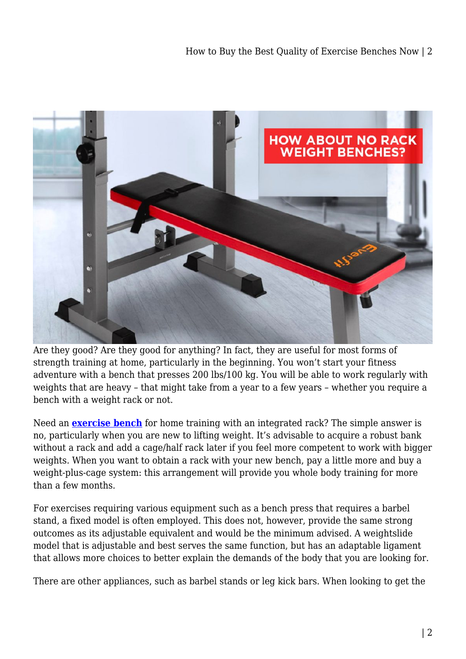

Are they good? Are they good for anything? In fact, they are useful for most forms of strength training at home, particularly in the beginning. You won't start your fitness adventure with a bench that presses 200 lbs/100 kg. You will be able to work regularly with weights that are heavy – that might take from a year to a few years – whether you require a bench with a weight rack or not.

Need an **[exercise bench](https://shopystore.com.au/fitness-equipments/exercise-benches/)** for home training with an integrated rack? The simple answer is no, particularly when you are new to lifting weight. It's advisable to acquire a robust bank without a rack and add a cage/half rack later if you feel more competent to work with bigger weights. When you want to obtain a rack with your new bench, pay a little more and buy a weight-plus-cage system: this arrangement will provide you whole body training for more than a few months.

For exercises requiring various equipment such as a bench press that requires a barbel stand, a fixed model is often employed. This does not, however, provide the same strong outcomes as its adjustable equivalent and would be the minimum advised. A weightslide model that is adjustable and best serves the same function, but has an adaptable ligament that allows more choices to better explain the demands of the body that you are looking for.

There are other appliances, such as barbel stands or leg kick bars. When looking to get the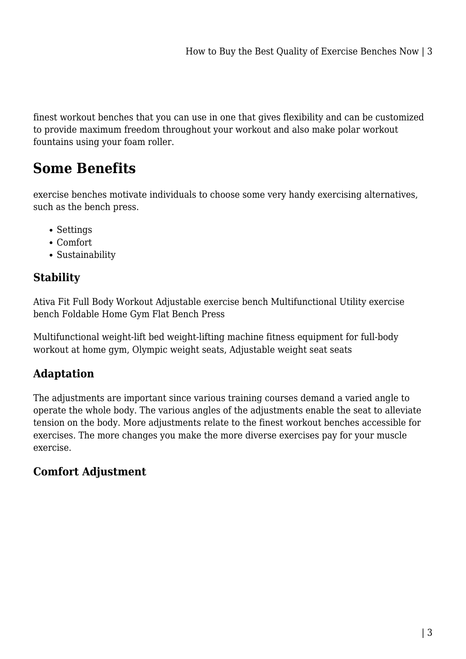finest workout benches that you can use in one that gives flexibility and can be customized to provide maximum freedom throughout your workout and also make polar workout fountains using your foam roller.

## **Some Benefits**

exercise benches motivate individuals to choose some very handy exercising alternatives, such as the bench press.

- Settings
- Comfort
- Sustainability

## **Stability**

Ativa Fit Full Body Workout Adjustable exercise bench Multifunctional Utility exercise bench Foldable Home Gym Flat Bench Press

Multifunctional weight-lift bed weight-lifting machine fitness equipment for full-body workout at home gym, Olympic weight seats, Adjustable weight seat seats

## **Adaptation**

The adjustments are important since various training courses demand a varied angle to operate the whole body. The various angles of the adjustments enable the seat to alleviate tension on the body. More adjustments relate to the finest workout benches accessible for exercises. The more changes you make the more diverse exercises pay for your muscle exercise.

## **Comfort Adjustment**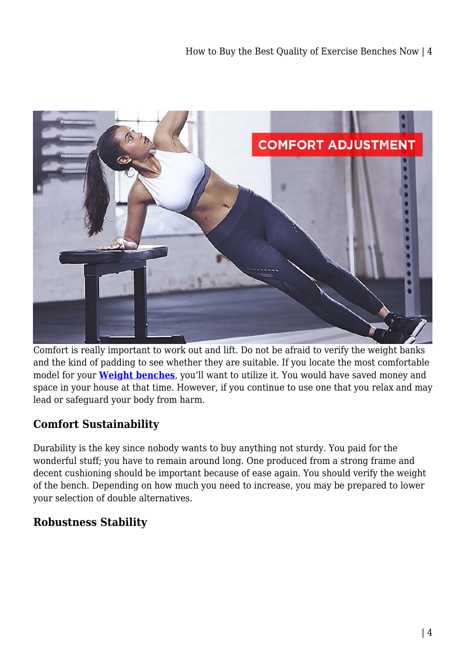

Comfort is really important to work out and lift. Do not be afraid to verify the weight banks and the kind of padding to see whether they are suitable. If you locate the most comfortable model for your **[Weight benches](https://shopystore.com.au/fitness-equipments/exercise-benches/)**, you'll want to utilize it. You would have saved money and space in your house at that time. However, if you continue to use one that you relax and may lead or safeguard your body from harm.

## **Comfort Sustainability**

Durability is the key since nobody wants to buy anything not sturdy. You paid for the wonderful stuff; you have to remain around long. One produced from a strong frame and decent cushioning should be important because of ease again. You should verify the weight of the bench. Depending on how much you need to increase, you may be prepared to lower your selection of double alternatives.

## **Robustness Stability**